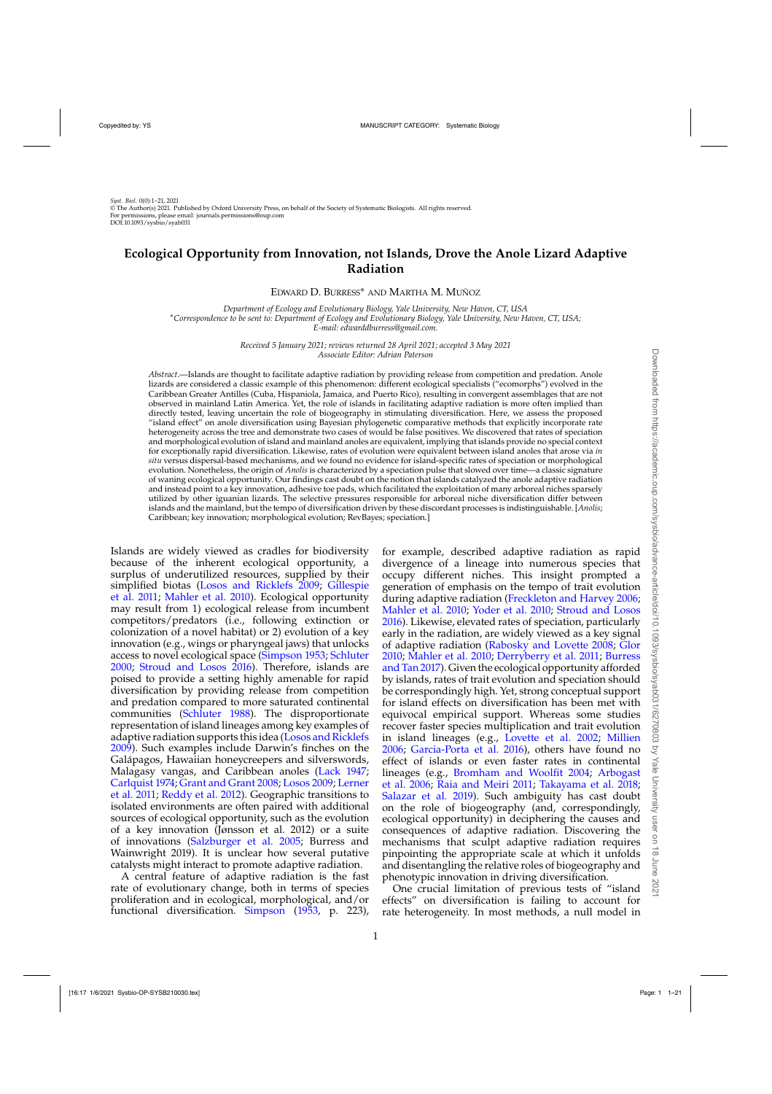# **Ecological Opportunity from Innovation, not Islands, Drove the Anole Lizard Adaptive Radiation**

EDWARD D. BURRESS∗ AND MARTHA M. MUÑOZ

*Department of Ecology and Evolutionary Biology, Yale University, New Haven, CT, USA* ∗*Correspondence to be sent to: Department of Ecology and Evolutionary Biology, Yale University, New Haven, CT, USA; E-mail: edwarddburress@gmail.com.*

> *Received 5 January 2021; reviews returned 28 April 2021; accepted 3 May 2021 Associate Editor: Adrian Paterson*

*Abstract*.—Islands are thought to facilitate adaptive radiation by providing release from competition and predation. Anole lizards are considered a classic example of this phenomenon: different ecological specialists ("ecomorphs") evolved in the Caribbean Greater Antilles (Cuba, Hispaniola, Jamaica, and Puerto Rico), resulting in convergent assemblages that are not observed in mainland Latin America. Yet, the role of islands in facilitating adaptive radiation is more often implied than directly tested, leaving uncertain the role of biogeography in stimulating diversification. Here, we assess the proposed "island effect" on anole diversification using Bayesian phylogenetic comparative methods that explicitly incorporate rate heterogeneity across the tree and demonstrate two cases of would be false positives. We discovered that rates of speciation and morphological evolution of island and mainland anoles are equivalent, implying that islands provide no special context for exceptionally rapid diversification. Likewise, rates of evolution were equivalent between island anoles that arose via *in situ* versus dispersal-based mechanisms, and we found no evidence for island-specific rates of speciation or morphological evolution. Nonetheless, the origin of *Anolis* is characterized by a speciation pulse that slowed over time—a classic signature of waning ecological opportunity. Our findings cast doubt on the notion that islands catalyzed the anole adaptive radiation and instead point to a key innovation, adhesive toe pads, which facilitated the exploitation of many arboreal niches sparsely utilized by other iguanian lizards. The selective pressures responsible for arboreal niche diversification differ between islands and the mainland, but the tempo of diversification driven by these discordant processes is indistinguishable. [*Anolis*; Caribbean; key innovation; morphological evolution; RevBayes; speciation.]

Islands are widely viewed as cradles for biodiversity because of the inherent ecological opportunity, a surplus of underutilized resources, supplied by their simp[lified biotas](#page-8-0) [\(Losos and Ricklefs 2009](#page-9-0)[;](#page-8-0) Gillespie et al. [2011;](#page-8-0) [Mahler et al. 2010](#page-9-0)). Ecological opportunity may result from 1) ecological release from incumbent competitors/predators (i.e., following extinction or colonization of a novel habitat) or 2) evolution of a key innovation (e.g., wings or pharyngeal jaws) that unlocks access to novel ecological space [\(Simpson 1953](#page-10-0); [Schluter](#page-10-0) [2000;](#page-10-0) [Stroud and Losos 2016\)](#page-10-0). Therefore, islands are poised to provide a setting highly amenable for rapid diversification by providing release from competition and predation compared to more saturated continental communities [\(Schluter 1988](#page-10-0)). The disproportionate representation of island lineages among key examples of adaptive radiation supports this idea [\(Losos and Ricklefs](#page-9-0) [2009\)](#page-9-0). Such examples include Darwin's finches on the Galápagos, Hawaiian honeycreepers and silverswords, Malagasy vangas, and Caribbean anoles [\(Lack 1947](#page-9-0); [Carlquist 1974](#page-8-0); [Grant and Grant 2008](#page-8-0)[;](#page-9-0) [Losos 2009;](#page-9-0) Lerner et al. [2011;](#page-9-0) [Reddy et al. 2012\)](#page-10-0). Geographic transitions to isolated environments are often paired with additional sources of ecological opportunity, such as the evolution of a key innovation (Jønsson et al. 2012) or a suite of innovations [\(Salzburger et al. 2005](#page-10-0); Burress and Wainwright 2019). It is unclear how several putative catalysts might interact to promote adaptive radiation.

A central feature of adaptive radiation is the fast rate of evolutionary change, both in terms of species proliferation and in ecological, morphological, and/or functional diversification. [Simpson](#page-10-0) [\(1953](#page-10-0), p. 223),

for example, described adaptive radiation as rapid divergence of a lineage into numerous species that occupy different niches. This insight prompted a generation of emphasis on the tempo of trait evolution during adaptive radiation [\(Freckleton and Harvey 2006](#page-8-0); [Mahler et al. 2010](#page-9-0); [Yoder et al. 2010](#page-11-0); [Stroud and Losos](#page-10-0) [2016\)](#page-10-0). Likewise, elevated rates of speciation, particularly early in the radiation, are widely viewed as a key signal of adaptive radiation [\(Rabosky and Lovette 2008](#page-10-0); [Glor](#page-8-0) [2010;](#page-8-0) [Mahler et al. 2010;](#page-9-0) [Derryberry et al. 2011;](#page-8-0) Burress and Tan [2017](#page-8-0)). Given the ecological opportunity afforded by islands, rates of trait evolution and speciation should be correspondingly high. Yet, strong conceptual support for island effects on diversification has been met with equivocal empirical support. Whereas some studies recover faster species multiplication and trait evolution in island lineages (e.g., [Lovette et al. 2002;](#page-9-0) [Millien](#page-9-0) [2006;](#page-9-0) [Garcia-Porta et al. 2016\)](#page-8-0), others have found no effect of islands or even faster rates in continental lineages (e.g., [Bromham and Woolfit 2004;](#page-8-0) Arbogast et al. [2006;](#page-8-0) [Raia and Meiri 2011](#page-10-0); [Takayama et al. 2018](#page-10-0); [Salazar et al. 2019\)](#page-10-0). Such ambiguity has cast doubt on the role of biogeography (and, correspondingly, ecological opportunity) in deciphering the causes and consequences of adaptive radiation. Discovering the mechanisms that sculpt adaptive radiation requires pinpointing the appropriate scale at which it unfolds and disentangling the relative roles of biogeography and phenotypic innovation in driving diversification.

One crucial limitation of previous tests of "island effects" on diversification is failing to account for rate heterogeneity. In most methods, a null model in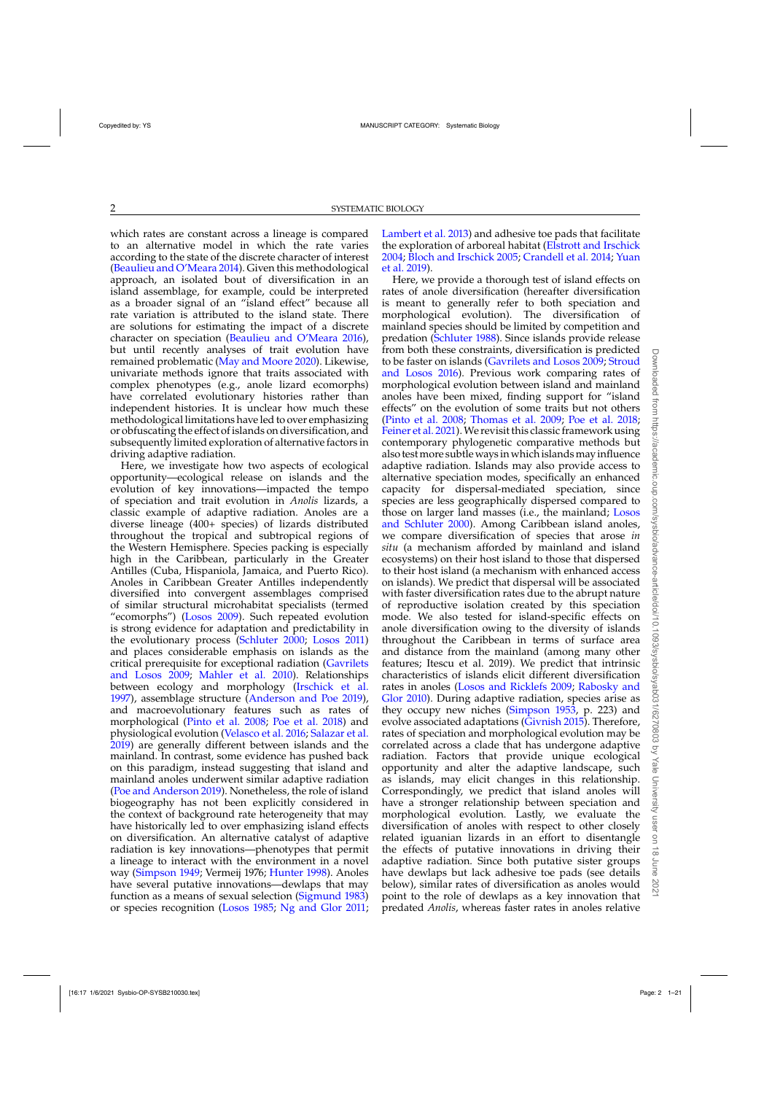which rates are constant across a lineage is compared to an alternative model in which the rate varies according to the state of the discrete character of interest [\(Beaulieu and O'Meara 2014\)](#page-8-0). Given this methodological approach, an isolated bout of diversification in an island assemblage, for example, could be interpreted as a broader signal of an "island effect" because all rate variation is attributed to the island state. There are solutions for estimating the impact of a discrete character on speciation [\(Beaulieu and O'Meara 2016](#page-8-0)), but until recently analyses of trait evolution have remained problematic [\(May and Moore 2020\)](#page-9-0). Likewise, univariate methods ignore that traits associated with complex phenotypes (e.g., anole lizard ecomorphs) have correlated evolutionary histories rather than independent histories. It is unclear how much these methodological limitations have led to over emphasizing or obfuscating the effect of islands on diversification, and subsequently limited exploration of alternative factors in driving adaptive radiation.

Here, we investigate how two aspects of ecological opportunity—ecological release on islands and the evolution of key innovations—impacted the tempo of speciation and trait evolution in *Anolis* lizards, a classic example of adaptive radiation. Anoles are a diverse lineage (400+ species) of lizards distributed throughout the tropical and subtropical regions of the Western Hemisphere. Species packing is especially high in the Caribbean, particularly in the Greater Antilles (Cuba, Hispaniola, Jamaica, and Puerto Rico). Anoles in Caribbean Greater Antilles independently diversified into convergent assemblages comprised of similar structural microhabitat specialists (termed "ecomorphs") [\(Losos 2009](#page-9-0)). Such repeated evolution is strong evidence for adaptation and predictability in the evolutionary process [\(Schluter 2000;](#page-10-0) [Losos 2011\)](#page-9-0) and places considerable emphasis on islands as the critical pre[requisite](#page-8-0) [for](#page-8-0) [exceptional](#page-8-0) [radiation](#page-8-0) [\(](#page-8-0)Gavrilets and Losos [2009](#page-8-0); [Mahler et al. 2010](#page-9-0)). Relationships between ecology and morphology [\(Irschick et al.](#page-9-0) [1997\)](#page-9-0), assemblage structure [\(Anderson and Poe 2019](#page-8-0)), and macroevolutionary features such as rates of morphological [\(Pinto et al. 2008](#page-10-0); [Poe et al. 2018\)](#page-10-0) and physiological evolution [\(Velasco et al. 2016;](#page-10-0) [Salazar et al.](#page-10-0) [2019](#page-10-0)) are generally different between islands and the mainland. In contrast, some evidence has pushed back on this paradigm, instead suggesting that island and mainland anoles underwent similar adaptive radiation [\(Poe and Anderson 2019](#page-10-0)). Nonetheless, the role of island biogeography has not been explicitly considered in the context of background rate heterogeneity that may have historically led to over emphasizing island effects on diversification. An alternative catalyst of adaptive radiation is key innovations—phenotypes that permit a lineage to interact with the environment in a novel way [\(Simpson 1949;](#page-10-0) Vermeij 1976; [Hunter 1998\)](#page-9-0). Anoles have several putative innovations—dewlaps that may function as a means of sexual selection [\(Sigmund 1983\)](#page-10-0) or species recognition [\(Losos 1985;](#page-9-0) [Ng and Glor 2011;](#page-9-0)

[Lambert et al. 2013](#page-9-0)) and adhesive toe pads that facilitate the exploration of arboreal habitat [\(Elstrott and Irschick](#page-8-0) [2004;](#page-8-0) [Bloch and Irschick 2005](#page-8-0)[;](#page-11-0) [Crandell et al. 2014;](#page-8-0) Yuan et al. [2019](#page-11-0)).

Here, we provide a thorough test of island effects on rates of anole diversification (hereafter diversification is meant to generally refer to both speciation and morphological evolution). The diversification of mainland species should be limited by competition and predation [\(Schluter 1988](#page-10-0)). Since islands provide release from both these constraints, diversification is predicted to be faste[r](#page-10-0) [on](#page-10-0) [islands](#page-10-0) [\(Gavrilets and Losos 2009](#page-8-0)[;](#page-10-0) Stroud and Losos [2016\)](#page-10-0). Previous work comparing rates of morphological evolution between island and mainland anoles have been mixed, finding support for "island effects" on the evolution of some traits but not others [\(Pinto et al. 2008;](#page-10-0) [Thomas et al. 2009](#page-10-0); [Poe et al. 2018](#page-10-0); [Feiner et al. 2021\)](#page-8-0). We revisit this classic framework using contemporary phylogenetic comparative methods but also test more subtle ways in which islands may influence adaptive radiation. Islands may also provide access to alternative speciation modes, specifically an enhanced capacity for dispersal-mediated speciation, since species are less geographically dispersed compared to those on lar[ger land masses \(i.e., the mainland;](#page-9-0) Losos and Schluter [2000](#page-9-0)). Among Caribbean island anoles, we compare diversification of species that arose *in situ* (a mechanism afforded by mainland and island ecosystems) on their host island to those that dispersed to their host island (a mechanism with enhanced access on islands). We predict that dispersal will be associated with faster diversification rates due to the abrupt nature of reproductive isolation created by this speciation mode. We also tested for island-specific effects on anole diversification owing to the diversity of islands throughout the Caribbean in terms of surface area and distance from the mainland (among many other features; Itescu et al. 2019). We predict that intrinsic characteristics of islands elicit different diversification rates in anoles [\(Losos and Ricklefs 2009](#page-9-0); Rabosky and Glor [2010](#page-10-0)). During adaptive radiation, species arise as they occupy new niches [\(Simpson 1953,](#page-10-0) p. 223) and evolve associated adaptations [\(Givnish 2015](#page-8-0)). Therefore, rates of speciation and morphological evolution may be correlated across a clade that has undergone adaptive radiation. Factors that provide unique ecological opportunity and alter the adaptive landscape, such as islands, may elicit changes in this relationship. Correspondingly, we predict that island anoles will have a stronger relationship between speciation and morphological evolution. Lastly, we evaluate the diversification of anoles with respect to other closely related iguanian lizards in an effort to disentangle the effects of putative innovations in driving their adaptive radiation. Since both putative sister groups have dewlaps but lack adhesive toe pads (see details below), similar rates of diversification as anoles would point to the role of dewlaps as a key innovation that predated *Anolis*, whereas faster rates in anoles relative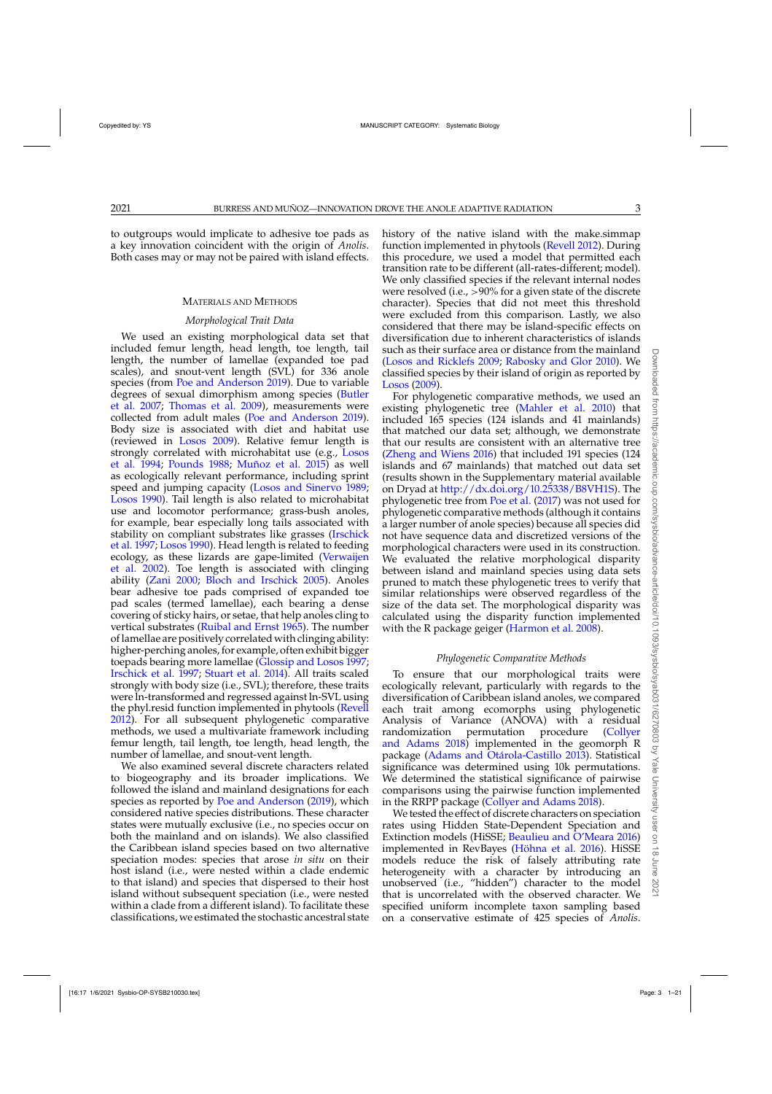to outgroups would implicate to adhesive toe pads as a key innovation coincident with the origin of *Anolis*. Both cases may or may not be paired with island effects.

## MATERIALS AND METHODS

## *Morphological Trait Data*

We used an existing morphological data set that included femur length, head length, toe length, tail length, the number of lamellae (expanded toe pad scales), and snout-vent length (SVL) for 336 anole species (from [Poe and Anderson 2019](#page-10-0)). Due to variable degr[ees of sexual dimorphism among species \(](#page-8-0)Butler et al. [2007](#page-8-0); [Thomas et al. 2009\)](#page-10-0), measurements were collected from adult males [\(Poe and Anderson 2019\)](#page-10-0). Body size is associated with diet and habitat use (reviewed in [Losos 2009\)](#page-9-0). Relative femur length is stron[gly correlated with microhabitat use \(e.g.,](#page-9-0) Losos et al. [1994](#page-9-0); [Pounds 1988;](#page-10-0) [Muñoz et al. 2015\)](#page-9-0) as well as ecologically relevant performance, including sprint speed and jumping capacity [\(Losos and Sinervo 1989](#page-9-0); [Losos 1990](#page-9-0)). Tail length is also related to microhabitat use and locomotor performance; grass-bush anoles, for example, bear especially long tails associated with stability on compliant substrates like grasses (Irschick et al. [1997;](#page-9-0) [Losos 1990](#page-9-0)). Head length is related to feeding ecolo[gy, as these lizards are gape-limited \(](#page-10-0)Verwaijen et al. [2002\)](#page-10-0). Toe length is associated with clinging ability [\(Zani 2000;](#page-11-0) [Bloch and Irschick 2005\)](#page-8-0). Anoles bear adhesive toe pads comprised of expanded toe pad scales (termed lamellae), each bearing a dense covering of sticky hairs, or setae, that help anoles cling to vertical substrates [\(Ruibal and Ernst 1965\)](#page-10-0). The number of lamellae are positively correlated with clinging ability: higher-perching anoles, for example, often exhibit bigger toepads bearing more lamellae [\(Glossip and Losos 1997](#page-8-0); [Irschick et al. 1997;](#page-9-0) [Stuart et al. 2014\)](#page-10-0). All traits scaled strongly with body size (i.e., SVL); therefore, these traits were ln-transformed and regressed against ln-SVL using the phyl.resid function implemented in phytools [\(Revell](#page-10-0) [2012\)](#page-10-0). For all subsequent phylogenetic comparative methods, we used a multivariate framework including femur length, tail length, toe length, head length, the number of lamellae, and snout-vent length.

We also examined several discrete characters related to biogeography and its broader implications. We followed the island and mainland designations for each species as reported by [Poe and Anderson](#page-10-0) [\(2019\)](#page-10-0), which considered native species distributions. These character states were mutually exclusive (i.e., no species occur on both the mainland and on islands). We also classified the Caribbean island species based on two alternative speciation modes: species that arose *in situ* on their host island (i.e., were nested within a clade endemic to that island) and species that dispersed to their host island without subsequent speciation (i.e., were nested within a clade from a different island). To facilitate these classifications, we estimated the stochastic ancestral state

history of the native island with the make.simmap function implemented in phytools [\(Revell 2012\)](#page-10-0). During this procedure, we used a model that permitted each transition rate to be different (all-rates-different; model). We only classified species if the relevant internal nodes were resolved (i.e.,  $>90\%$  for a given state of the discrete character). Species that did not meet this threshold were excluded from this comparison. Lastly, we also considered that there may be island-specific effects on diversification due to inherent characteristics of islands such as their surface area or distance from the mainland [\(Losos and Ricklefs 2009;](#page-9-0) [Rabosky and Glor 2010\)](#page-10-0). We classified species by their island of origin as reported by [Losos](#page-9-0) [\(2009](#page-9-0)).

For phylogenetic comparative methods, we used an existing phylogenetic tree [\(Mahler et al. 2010\)](#page-9-0) that included 165 species (124 islands and 41 mainlands) that matched our data set; although, we demonstrate that our results are consistent with an alternative tree [\(Zheng and Wiens 2016\)](#page-11-0) that included 191 species (124 islands and 67 mainlands) that matched out data set (results shown in the Supplementary material available on Dryad at [http://dx.doi.org/10.25338/B8VH1S\)](http://dx.doi.org/10.25338/B8VH1S). The phylogenetic tree from [Poe et al.](#page-10-0) [\(2017\)](#page-10-0) was not used for phylogenetic comparative methods (although it contains a larger number of anole species) because all species did not have sequence data and discretized versions of the morphological characters were used in its construction. We evaluated the relative morphological disparity between island and mainland species using data sets pruned to match these phylogenetic trees to verify that similar relationships were observed regardless of the size of the data set. The morphological disparity was calculated using the disparity function implemented with the R package geiger [\(Harmon et al. 2008](#page-8-0)).

# *Phylogenetic Comparative Methods*

To ensure that our morphological traits were ecologically relevant, particularly with regards to the diversification of Caribbean island anoles, we compared each trait among ecomorphs using phylogenetic Analysis of Variance (ANOVA) with a residual randomization permutation procedure (Collyer and Adams [2018\)](#page-8-0) implemented in the geomorph R package [\(Adams and Otárola-Castillo 2013](#page-8-0)). Statistical significance was determined using 10k permutations. We determined the statistical significance of pairwise comparisons using the pairwise function implemented in the RRPP package [\(Collyer and Adams 2018](#page-8-0)).

We tested the effect of discrete characters on speciation rates using Hidden State-Dependent Speciation and Extinction models (HiSSE; [Beaulieu and O'Meara 2016\)](#page-8-0) implemented in RevBayes [\(Höhna et al. 2016\)](#page-8-0). HiSSE models reduce the risk of falsely attributing rate heterogeneity with a character by introducing an unobserved (i.e., "hidden") character to the model that is uncorrelated with the observed character. We specified uniform incomplete taxon sampling based on a conservative estimate of 425 species of *Anolis*.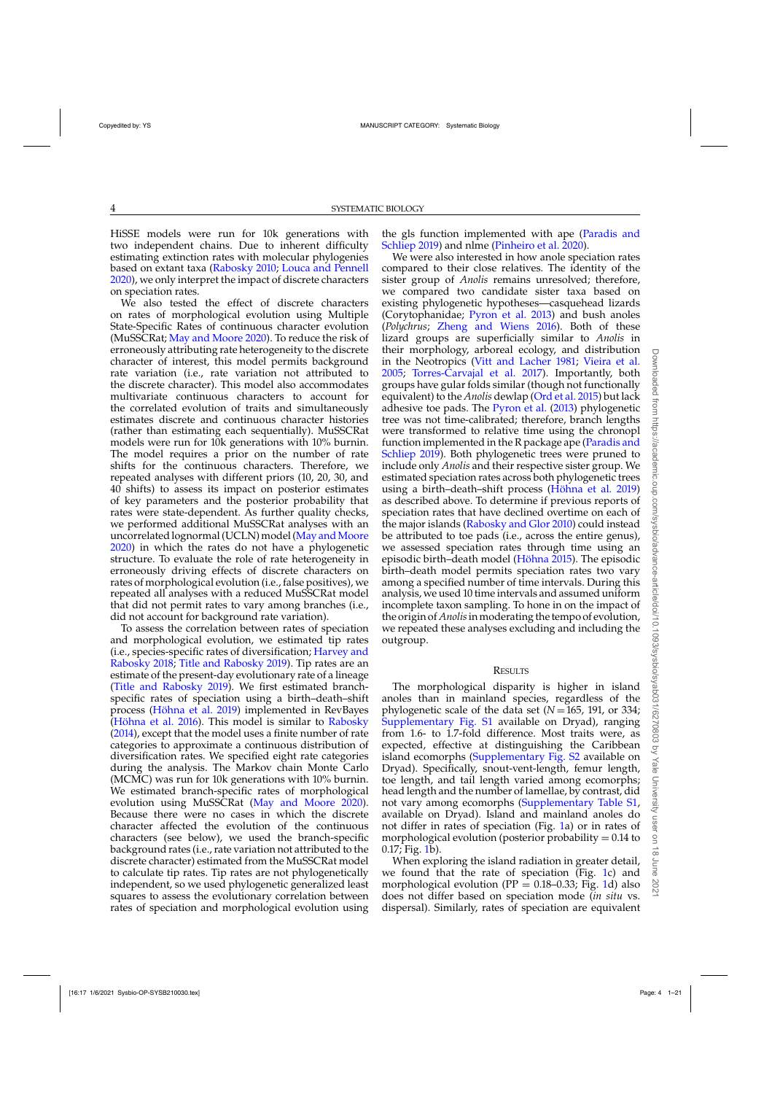HiSSE models were run for 10k generations with two independent chains. Due to inherent difficulty estimating extinction rates with molecular phylogenies based on extant taxa [\(Rabosky 2010;](#page-10-0) [Louca and Pennell](#page-9-0) [2020](#page-9-0)), we only interpret the impact of discrete characters on speciation rates.

We also tested the effect of discrete characters on rates of morphological evolution using Multiple State-Specific Rates of continuous character evolution (MuSSCRat; [May and Moore 2020\)](#page-9-0). To reduce the risk of erroneously attributing rate heterogeneity to the discrete character of interest, this model permits background rate variation (i.e., rate variation not attributed to the discrete character). This model also accommodates multivariate continuous characters to account for the correlated evolution of traits and simultaneously estimates discrete and continuous character histories (rather than estimating each sequentially). MuSSCRat models were run for 10k generations with 10% burnin. The model requires a prior on the number of rate shifts for the continuous characters. Therefore, we repeated analyses with different priors (10, 20, 30, and 40 shifts) to assess its impact on posterior estimates of key parameters and the posterior probability that rates were state-dependent. As further quality checks, we performed additional MuSSCRat analyses with an uncorrelated lognormal (UCLN) model (May and Moore [2020](#page-9-0)) in which the rates do not have a phylogenetic structure. To evaluate the role of rate heterogeneity in erroneously driving effects of discrete characters on rates of morphological evolution (i.e., false positives), we repeated all analyses with a reduced MuSSCRat model that did not permit rates to vary among branches (i.e., did not account for background rate variation).

To assess the correlation between rates of speciation and morphological evolution, we estimated tip rates (i.e., spe[cies-specific](#page-8-0) [rates](#page-8-0) [of](#page-8-0) [diversification;](#page-8-0) Harvey and Rabosky [2018](#page-8-0); [Title and Rabosky 2019](#page-10-0)). Tip rates are an estimate of the present-day evolutionary rate of a lineage [\(Title and Rabosky 2019](#page-10-0)). We first estimated branchspecific rates of speciation using a birth–death–shift process [\(Höhna et al. 2019](#page-9-0)) implemented in RevBayes [\(Höhna et al. 2016](#page-8-0)). This model is similar to [Rabosky](#page-10-0) [\(2014](#page-10-0)), except that the model uses a finite number of rate categories to approximate a continuous distribution of diversification rates. We specified eight rate categories during the analysis. The Markov chain Monte Carlo (MCMC) was run for 10k generations with 10% burnin. We estimated branch-specific rates of morphological evolution using MuSSCRat [\(May and Moore 2020](#page-9-0)). Because there were no cases in which the discrete character affected the evolution of the continuous characters (see below), we used the branch-specific background rates (i.e., rate variation not attributed to the discrete character) estimated from the MuSSCRat model to calculate tip rates. Tip rates are not phylogenetically independent, so we used phylogenetic generalized least squares to assess the evolutionary correlation between rates of speciation and morphological evolution using

the gls [function implemented with ape \(](#page-10-0)Paradis and Schliep [2019](#page-10-0)) and nlme [\(Pinheiro et al. 2020\)](#page-10-0).

We were also interested in how anole speciation rates compared to their close relatives. The identity of the sister group of *Anolis* remains unresolved; therefore, we compared two candidate sister taxa based on existing phylogenetic hypotheses—casquehead lizards (Corytophanidae; [Pyron et al. 2013\)](#page-10-0) and bush anoles (*Polychrus*; [Zheng and Wiens 2016\)](#page-11-0). Both of these lizard groups are superficially similar to *Anolis* in their morphology, arboreal ecology, and distribution in the Neotropics [\(Vitt and Lacher 1981;](#page-11-0) [Vieira et al.](#page-10-0) [2005;](#page-10-0) [Torres-Carvajal et al. 2017](#page-10-0)). Importantly, both groups have gular folds similar (though not functionally equivalent) to the *Anolis* dewlap [\(Ord et al. 2015\)](#page-9-0) but lack adhesive toe pads. The [Pyron et al.](#page-10-0) [\(2013\)](#page-10-0) phylogenetic tree was not time-calibrated; therefore, branch lengths were transformed to relative time using the chronopl functio[n implemented in the R package ape \(](#page-10-0)Paradis and Schliep [2019\)](#page-10-0). Both phylogenetic trees were pruned to include only *Anolis* and their respective sister group. We estimated speciation rates across both phylogenetic trees using a birth–death–shift process [\(Höhna et al. 2019](#page-9-0)) as described above. To determine if previous reports of speciation rates that have declined overtime on each of the major islands [\(Rabosky and Glor 2010](#page-10-0)) could instead be attributed to toe pads (i.e., across the entire genus), we assessed speciation rates through time using an episodic birth–death model [\(Höhna 2015](#page-9-0)). The episodic birth–death model permits speciation rates two vary among a specified number of time intervals. During this analysis, we used 10 time intervals and assumed uniform incomplete taxon sampling. To hone in on the impact of the origin of *Anolis* in moderating the tempo of evolution, we repeated these analyses excluding and including the outgroup.

#### **RESULTS**

The morphological disparity is higher in island anoles than in mainland species, regardless of the phylogenetic scale of the data set  $(N = 165, 191, \text{ or } 334;$ [Supplementary Fig. S1](https://academic.oup.com/sysbio/article-lookup/doi/10.1093/sysbio/syab031#supplementary-data) available on Dryad), ranging from 1.6- to 1.7-fold difference. Most traits were, as expected, effective at distinguishing the Caribbean island ecomorphs [\(Supplementary Fig. S2](https://academic.oup.com/sysbio/article-lookup/doi/10.1093/sysbio/syab031#supplementary-data) available on Dryad). Specifically, snout-vent-length, femur length, toe length, and tail length varied among ecomorphs; head length and the number of lamellae, by contrast, did not vary among ecomorphs [\(Supplementary Table S1,](https://academic.oup.com/sysbio/article-lookup/doi/10.1093/sysbio/syab031#supplementary-data) available on Dryad). Island and mainland anoles do not differ in rates of speciation (Fig. [1a](#page-4-0)) or in rates of morphological evolution (posterior probability  $= 0.14$  to 0.17; Fig. [1b](#page-4-0)).

When exploring the island radiation in greater detail, we found that the rate of speciation (Fig. [1c](#page-4-0)) and morphological evolution (PP =  $0.18-0.33$ ; Fig. [1d](#page-4-0)) also does not differ based on speciation mode (*in situ* vs. dispersal). Similarly, rates of speciation are equivalent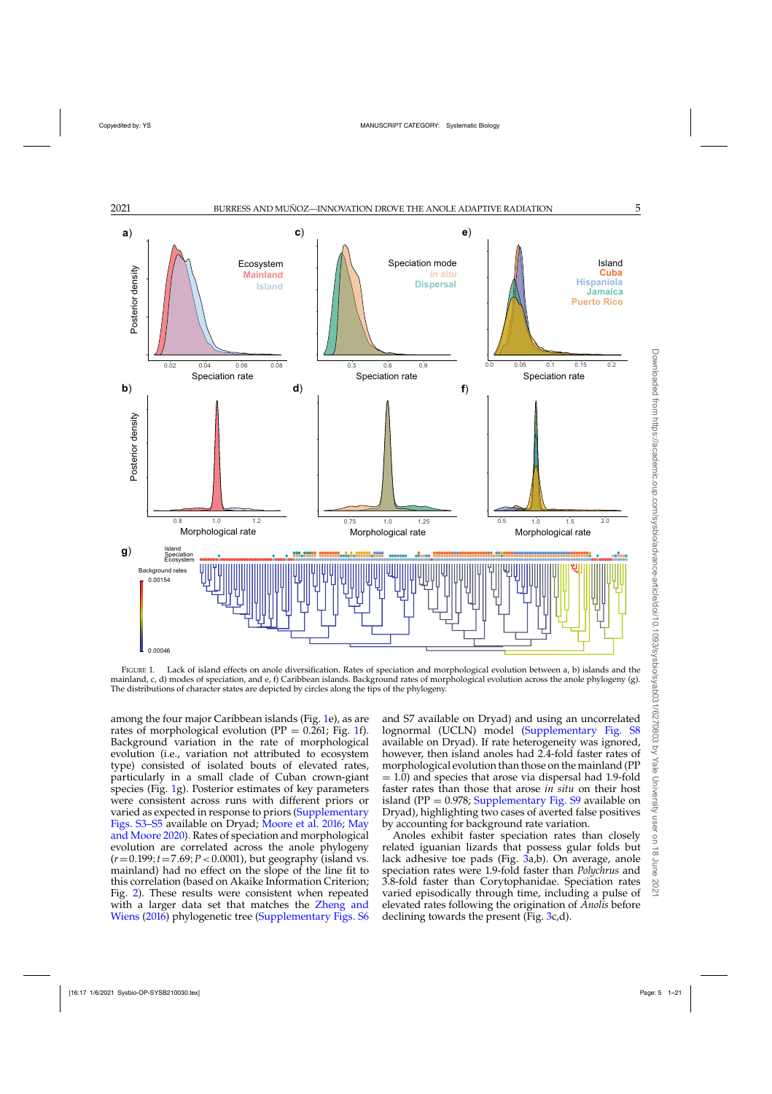<span id="page-4-0"></span>

FIGURE 1. Lack of island effects on anole diversification. Rates of speciation and morphological evolution between a, b) islands and the mainland, c, d) modes of speciation, and e, f) Caribbean islands. Background rates of morphological evolution across the anole phylogeny (g). The distributions of character states are depicted by circles along the tips of the phylogeny.

among the four major Caribbean islands (Fig. 1e), as are rates of morphological evolution ( $PP = 0.261$ ; Fig. 1f). Background variation in the rate of morphological evolution (i.e., variation not attributed to ecosystem type) consisted of isolated bouts of elevated rates, particularly in a small clade of Cuban crown-giant species (Fig. 1g). Posterior estimates of key parameters were consistent across runs with different priors or varied as expected in response to priors [\(Supplementary](https://academic.oup.com/sysbio/article-lookup/doi/10.1093/sysbio/syab031#supplementary-data) [Figs. S3–S5](https://academic.oup.com/sysbio/article-lookup/doi/10.1093/sysbio/syab031#supplementary-data) [available on Dryad;](#page-9-0) [Moore et al. 2016](#page-9-0); May and Moore [2020](#page-9-0)). Rates of speciation and morphological evolution are correlated across the anole phylogeny (*r*=0.199;*t*=7.69;*P*<0.0001), but geography (island vs. mainland) had no effect on the slope of the line fit to this correlation (based on Akaike Information Criterion; Fig. [2\)](#page-5-0). These results were consistent when repeated with a larger data set that matches the Zheng and Wiens [\(2016\)](#page-11-0) phylogenetic tree [\(Supplementary Figs. S6](https://academic.oup.com/sysbio/article-lookup/doi/10.1093/sysbio/syab031#supplementary-data)

and S7 available on Dryad) and using an uncorrelated lognormal (UCLN) model [\(Supplementary Fig. S8](https://academic.oup.com/sysbio/article-lookup/doi/10.1093/sysbio/syab031#supplementary-data) available on Dryad). If rate heterogeneity was ignored, however, then island anoles had 2.4-fold faster rates of morphological evolution than those on the mainland (PP  $= 1.0$ ) and species that arose via dispersal had 1.9-fold faster rates than those that arose *in situ* on their host island (PP =  $0.978$ ; [Supplementary Fig. S9](https://academic.oup.com/sysbio/article-lookup/doi/10.1093/sysbio/syab031#supplementary-data) available on Dryad), highlighting two cases of averted false positives by accounting for background rate variation.

Anoles exhibit faster speciation rates than closely related iguanian lizards that possess gular folds but lack adhesive toe pads (Fig. [3a](#page-5-0),b). On average, anole speciation rates were 1.9-fold faster than *Polychrus* and 3.8-fold faster than Corytophanidae. Speciation rates varied episodically through time, including a pulse of elevated rates following the origination of *Anolis* before declining towards the present (Fig. [3c](#page-5-0),d).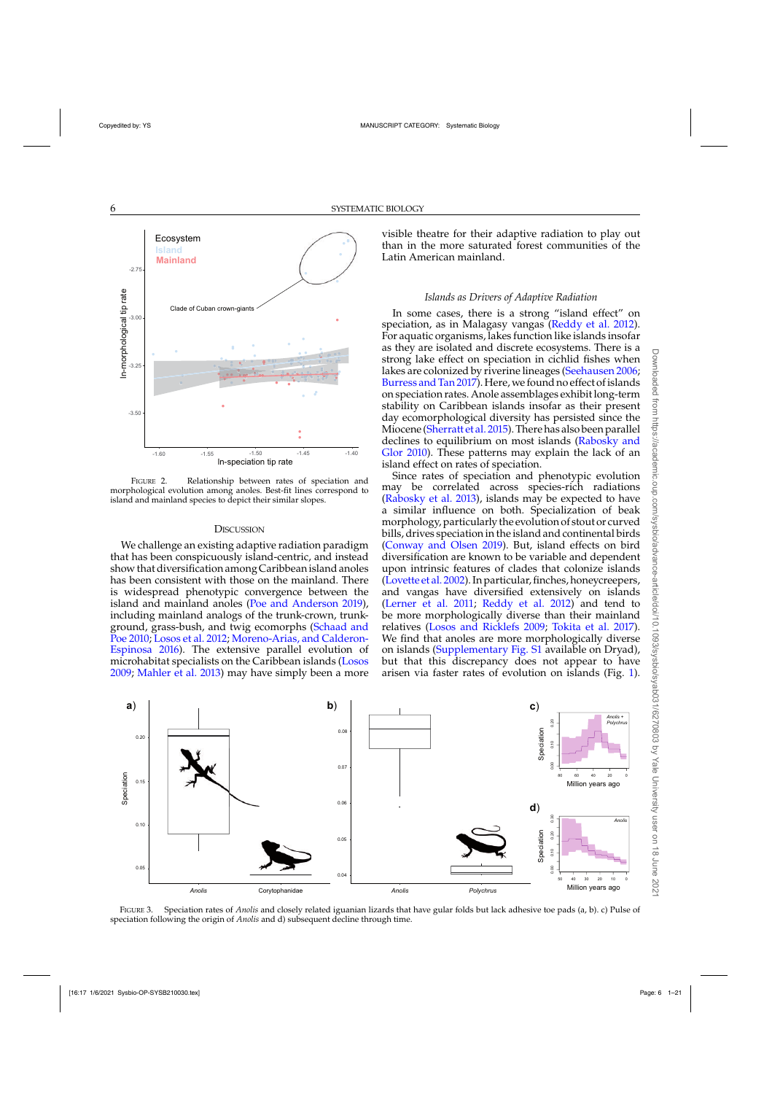<span id="page-5-0"></span>

FIGURE 2. Relationship between rates of speciation and morphological evolution among anoles. Best-fit lines correspond to island and mainland species to depict their similar slopes.

# **DISCUSSION**

We challenge an existing adaptive radiation paradigm that has been conspicuously island-centric, and instead show that diversification among Caribbean island anoles has been consistent with those on the mainland. There is widespread phenotypic convergence between the island and mainland anoles [\(Poe and Anderson 2019](#page-10-0)), including mainland analogs of the trunk-crown, trunkgro[und, grass-bush, and twig ecomorphs \(](#page-10-0)Schaad and Poe [2010](#page-10-0); [Losos et al. 2012;](#page-9-0) Moreno-Arias, and Calderon-Espinosa [2016](#page-9-0)). The extensive parallel evolution of microhabitat specialists on the Caribbean islands [\(Losos](#page-9-0) [2009](#page-9-0); [Mahler et al. 2013](#page-9-0)) may have simply been a more

visible theatre for their adaptive radiation to play out than in the more saturated forest communities of the Latin American mainland.

# *Islands as Drivers of Adaptive Radiation*

In some cases, there is a strong "island effect" on speciation, as in Malagasy vangas [\(Reddy et al. 2012\)](#page-10-0). For aquatic organisms, lakes function like islands insofar as they are isolated and discrete ecosystems. There is a strong lake effect on speciation in cichlid fishes when lakes are colonized by riverine lineages [\(Seehausen 2006](#page-10-0); [Burress and Tan 2017](#page-8-0)). Here, we found no effect of islands on speciation rates. Anole assemblages exhibit long-term stability on Caribbean islands insofar as their present day ecomorphological diversity has persisted since the Miocene [\(Sherratt et al. 2015\)](#page-10-0). There has also been parallel decl[ines](#page-10-0) [to](#page-10-0) [equilibrium](#page-10-0) [on](#page-10-0) [most](#page-10-0) [islands](#page-10-0) [\(](#page-10-0)Rabosky and Glor [2010](#page-10-0)). These patterns may explain the lack of an island effect on rates of speciation.

Since rates of speciation and phenotypic evolution may be correlated across species-rich radiations [\(Rabosky et al. 2013\)](#page-10-0), islands may be expected to have a similar influence on both. Specialization of beak morphology, particularly the evolution of stout or curved bills, drives speciation in the island and continental birds [\(Conway and Olsen 2019\)](#page-8-0). But, island effects on bird diversification are known to be variable and dependent upon intrinsic features of clades that colonize islands [\(Lovette et al. 2002](#page-9-0)). In particular, finches, honeycreepers, and vangas have diversified extensively on islands [\(Lerner et al. 2011;](#page-9-0) [Reddy et al. 2012](#page-10-0)) and tend to be more morphologically diverse than their mainland relatives [\(Losos and Ricklefs 2009;](#page-9-0) [Tokita et al. 2017\)](#page-10-0). We find that anoles are more morphologically diverse on islands [\(Supplementary Fig. S1](https://academic.oup.com/sysbio/article-lookup/doi/10.1093/sysbio/syab031#supplementary-data) available on Dryad), but that this discrepancy does not appear to have arisen via faster rates of evolution on islands (Fig. [1\)](#page-4-0).



FIGURE 3. Speciation rates of *Anolis* and closely related iguanian lizards that have gular folds but lack adhesive toe pads (a, b). c) Pulse of speciation following the origin of *Anolis* and d) subsequent decline through time.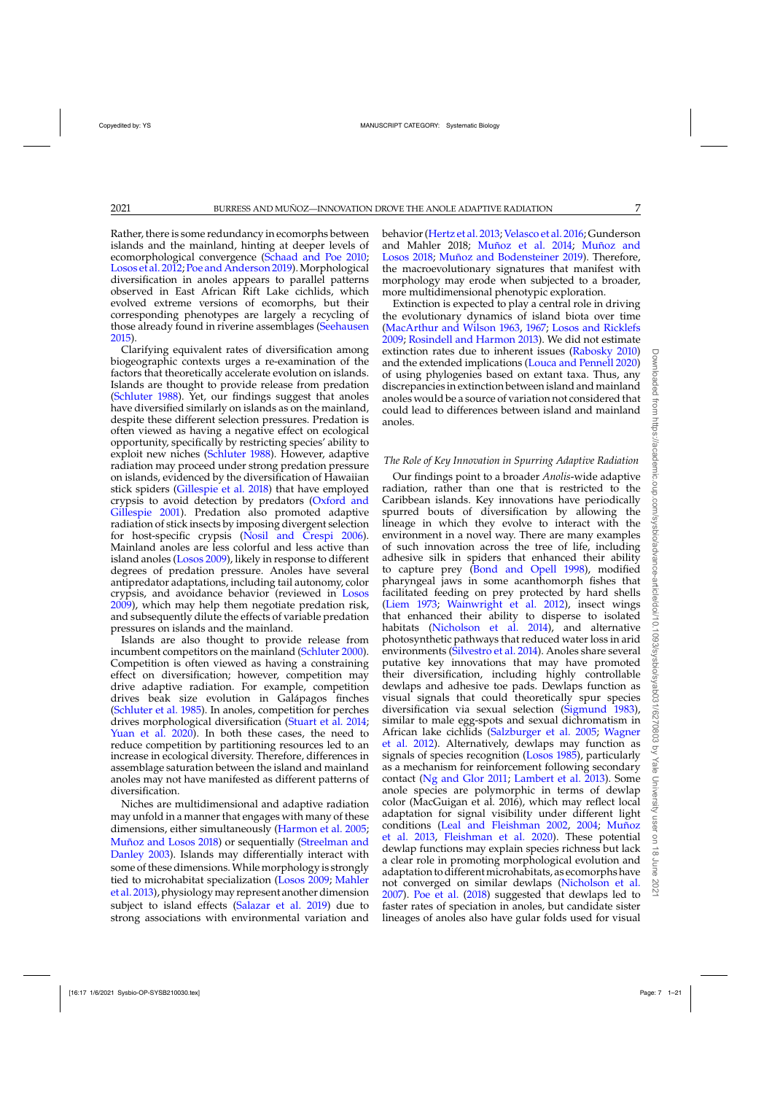Rather, there is some redundancy in ecomorphs between islands and the mainland, hinting at deeper levels of ecomorphological convergence [\(Schaad and Poe 2010](#page-10-0); [Losos et al. 2012](#page-9-0); [Poe and Anderson 2019](#page-10-0)). Morphological diversification in anoles appears to parallel patterns observed in East African Rift Lake cichlids, which evolved extreme versions of ecomorphs, but their corresponding phenotypes are largely a recycling of those already found in riverine assemblages [\(Seehausen](#page-10-0) [2015\)](#page-10-0).

Clarifying equivalent rates of diversification among biogeographic contexts urges a re-examination of the factors that theoretically accelerate evolution on islands. Islands are thought to provide release from predation [\(Schluter 1988](#page-10-0)). Yet, our findings suggest that anoles have diversified similarly on islands as on the mainland, despite these different selection pressures. Predation is often viewed as having a negative effect on ecological opportunity, specifically by restricting species' ability to exploit new niches [\(Schluter 1988\)](#page-10-0). However, adaptive radiation may proceed under strong predation pressure on islands, evidenced by the diversification of Hawaiian stick spiders [\(Gillespie et al. 2018\)](#page-8-0) that have employed crypsis [to avoid detection by predators \(](#page-9-0)Oxford and Gillespie [2001\)](#page-9-0). Predation also promoted adaptive radiation of stick insects by imposing divergent selection for host-specific crypsis [\(Nosil and Crespi 2006\)](#page-9-0). Mainland anoles are less colorful and less active than island anoles [\(Losos 2009](#page-9-0)), likely in response to different degrees of predation pressure. Anoles have several antipredator adaptations, including tail autonomy, color crypsis, and avoidance behavior (reviewed in [Losos](#page-9-0) [2009\)](#page-9-0), which may help them negotiate predation risk, and subsequently dilute the effects of variable predation pressures on islands and the mainland.

Islands are also thought to provide release from incumbent competitors on the mainland [\(Schluter 2000\)](#page-10-0). Competition is often viewed as having a constraining effect on diversification; however, competition may drive adaptive radiation. For example, competition drives beak size evolution in Galápagos finches [\(Schluter et al. 1985](#page-10-0)). In anoles, competition for perches drives morphological diversification [\(Stuart et al. 2014](#page-10-0); [Yuan et al. 2020](#page-11-0)). In both these cases, the need to reduce competition by partitioning resources led to an increase in ecological diversity. Therefore, differences in assemblage saturation between the island and mainland anoles may not have manifested as different patterns of diversification.

Niches are multidimensional and adaptive radiation may unfold in a manner that engages with many of these dimensions, either simultaneously [\(Harmon et al. 2005](#page-8-0); [Muñoz and Losos 2018](#page-9-0)[\) or sequentially \(](#page-10-0)Streelman and Danley [2003](#page-10-0)). Islands may differentially interact with some of these dimensions.While morphology is strongly tied [to microhabitat specialization \(Losos 2009;](#page-9-0) Mahler et al. [2013](#page-9-0)), physiology may represent another dimension subject to island effects [\(Salazar et al. 2019](#page-10-0)) due to strong associations with environmental variation and

behavior [\(Hertz et al. 2013](#page-8-0); [Velasco et al. 2016](#page-10-0); Gunderson and Mahler 2018; [Muñoz et al. 2014;](#page-9-0) Muñoz and Losos [2018;](#page-9-0) [Muñoz and Bodensteiner 2019](#page-9-0)). Therefore, the macroevolutionary signatures that manifest with morphology may erode when subjected to a broader, more multidimensional phenotypic exploration.

Extinction is expected to play a central role in driving the evolutionary dynamics of island biota over time [\(MacArthur and Wilson 1963,](#page-9-0) [1967;](#page-9-0) [Losos and Ricklefs](#page-9-0) [2009;](#page-9-0) [Rosindell and Harmon 2013\)](#page-10-0). We did not estimate extinction rates due to inherent issues [\(Rabosky 2010\)](#page-10-0) and the extended implications [\(Louca and Pennell 2020\)](#page-9-0) of using phylogenies based on extant taxa. Thus, any discrepancies in extinction between island and mainland anoles would be a source of variation not considered that could lead to differences between island and mainland anoles.

# *The Role of Key Innovation in Spurring Adaptive Radiation*

Our findings point to a broader *Anolis*-wide adaptive radiation, rather than one that is restricted to the Caribbean islands. Key innovations have periodically spurred bouts of diversification by allowing the lineage in which they evolve to interact with the environment in a novel way. There are many examples of such innovation across the tree of life, including adhesive silk in spiders that enhanced their ability to capture prey [\(Bond and Opell 1998\)](#page-8-0), modified pharyngeal jaws in some acanthomorph fishes that facilitated feeding on prey protected by hard shells [\(Liem 1973;](#page-9-0) [Wainwright et al. 2012](#page-11-0)), insect wings that enhanced their ability to disperse to isolated habitats [\(Nicholson et al. 2014](#page-9-0)), and alternative photosynthetic pathways that reduced water loss in arid environments [\(Silvestro et al. 2014\)](#page-10-0). Anoles share several putative key innovations that may have promoted their diversification, including highly controllable dewlaps and adhesive toe pads. Dewlaps function as visual signals that could theoretically spur species diversification via sexual selection [\(Sigmund 1983](#page-10-0)), similar to male egg-spots and sexual dichromatism in African lake cichlids [\(Salzburger et al. 2005](#page-10-0); Wagner et al. [2012\)](#page-11-0). Alternatively, dewlaps may function as signals of species recognition [\(Losos 1985\)](#page-9-0), particularly as a mechanism for reinforcement following secondary contact [\(Ng and Glor 2011;](#page-9-0) [Lambert et al. 2013](#page-9-0)). Some anole species are polymorphic in terms of dewlap color (MacGuigan et al. 2016), which may reflect local adaptation for signal visibility under different light condi[tions \(Leal and Fleishman 2002,](#page-9-0) [2004;](#page-9-0) Muñoz et al. [2013,](#page-9-0) [Fleishman et al. 2020\)](#page-8-0). These potential dewlap functions may explain species richness but lack a clear role in promoting morphological evolution and adaptation to different microhabitats, as ecomorphs have not converged on similar dewlaps [\(Nicholson et al.](#page-9-0) [2007\)](#page-9-0). [Poe et al.](#page-10-0) [\(2018\)](#page-10-0) suggested that dewlaps led to faster rates of speciation in anoles, but candidate sister lineages of anoles also have gular folds used for visual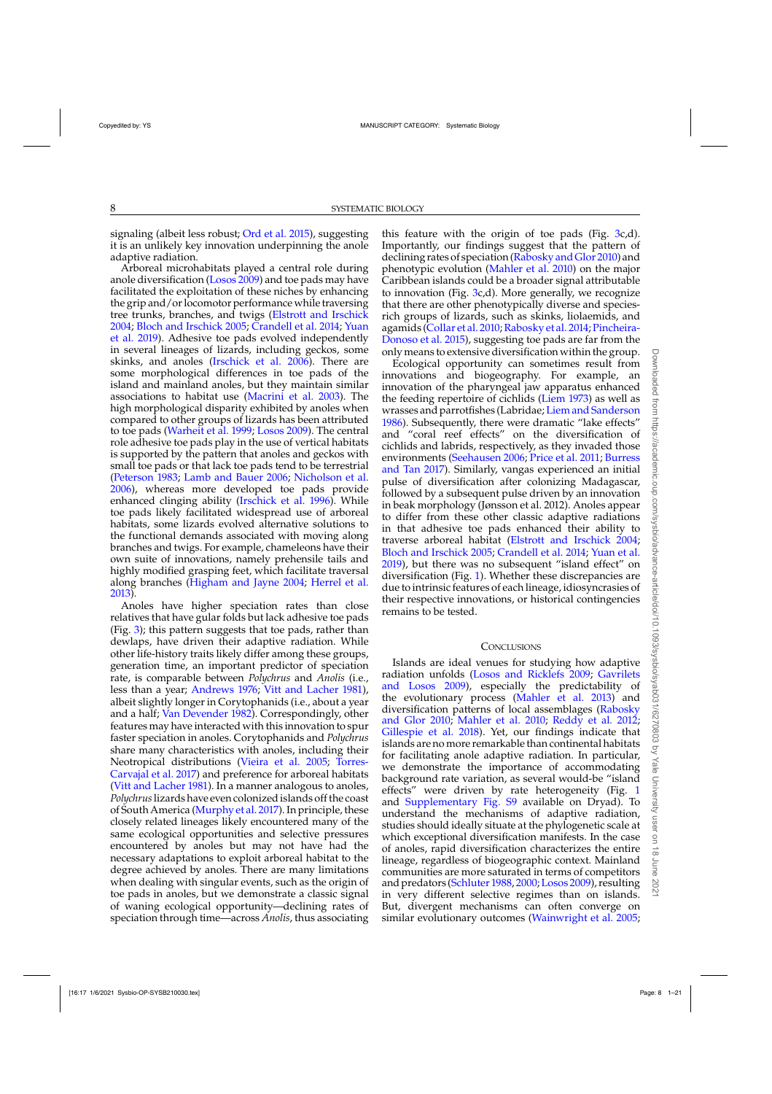signaling (albeit less robust; [Ord et al. 2015](#page-9-0)), suggesting it is an unlikely key innovation underpinning the anole adaptive radiation.

Arboreal microhabitats played a central role during anole diversification [\(Losos 2009](#page-9-0)) and toe pads may have facilitated the exploitation of these niches by enhancing the grip and/or locomotor performance while traversing tree trunks, branches, and twigs [\(Elstrott and Irschick](#page-8-0) [2004](#page-8-0); [Bloch and Irschick 2005](#page-8-0)[;](#page-11-0) [Crandell et al. 2014;](#page-8-0) Yuan et al. [2019](#page-11-0)). Adhesive toe pads evolved independently in several lineages of lizards, including geckos, some skinks, and anoles [\(Irschick et al. 2006\)](#page-9-0). There are some morphological differences in toe pads of the island and mainland anoles, but they maintain similar associations to habitat use [\(Macrini et al. 2003\)](#page-9-0). The high morphological disparity exhibited by anoles when compared to other groups of lizards has been attributed to toe pads [\(Warheit et al. 1999](#page-11-0); [Losos 2009\)](#page-9-0). The central role adhesive toe pads play in the use of vertical habitats is supported by the pattern that anoles and geckos with small toe pads or that lack toe pads tend to be terrestrial [\(Peterson 1983](#page-10-0); [Lamb and Bauer 2006;](#page-9-0) [Nicholson et al.](#page-9-0) [2006](#page-9-0)), whereas more developed toe pads provide enhanced clinging ability [\(Irschick et al. 1996\)](#page-9-0). While toe pads likely facilitated widespread use of arboreal habitats, some lizards evolved alternative solutions to the functional demands associated with moving along branches and twigs. For example, chameleons have their own suite of innovations, namely prehensile tails and highly modified grasping feet, which facilitate traversal along branches [\(Higham and Jayne 2004;](#page-8-0) [Herrel et al.](#page-8-0) [2013\)](#page-8-0).

Anoles have higher speciation rates than close relatives that have gular folds but lack adhesive toe pads (Fig.  $3$ ); this pattern suggests that toe pads, rather than dewlaps, have driven their adaptive radiation. While other life-history traits likely differ among these groups, generation time, an important predictor of speciation rate, is comparable between *Polychrus* and *Anolis* (i.e., less than a year; [Andrews 1976](#page-8-0); [Vitt and Lacher 1981](#page-11-0)), albeit slightly longer in Corytophanids (i.e., about a year and a half; [Van Devender 1982\)](#page-10-0). Correspondingly, other features may have interacted with this innovation to spur faster speciation in anoles. Corytophanids and *Polychrus* share many characteristics with anoles, including their Neotropical [distributions](#page-10-0) [\(Vieira et al. 2005;](#page-10-0) Torres-Carvajal et al. [2017\)](#page-10-0) and preference for arboreal habitats [\(Vitt and Lacher 1981\)](#page-11-0). In a manner analogous to anoles, *Polychrus*lizards have even colonizedislands off the coast of South America [\(Murphy et al. 2017](#page-9-0)). In principle, these closely related lineages likely encountered many of the same ecological opportunities and selective pressures encountered by anoles but may not have had the necessary adaptations to exploit arboreal habitat to the degree achieved by anoles. There are many limitations when dealing with singular events, such as the origin of toe pads in anoles, but we demonstrate a classic signal of waning ecological opportunity—declining rates of speciation through time—across *Anolis*, thus associating

this feature with the origin of toe pads (Fig. [3c](#page-5-0),d). Importantly, our findings suggest that the pattern of declining rates of speciation [\(Rabosky and Glor 2010\)](#page-10-0) and phenotypic evolution [\(Mahler et al. 2010\)](#page-9-0) on the major Caribbean islands could be a broader signal attributable to innovation (Fig. [3c](#page-5-0),d). More generally, we recognize that there are other phenotypically diverse and speciesrich groups of lizards, such as skinks, liolaemids, and agamids [\(Collar et al. 2010](#page-8-0); Rabosky et al. 2014; Pincheira-Donoso et al. [2015](#page-10-0)), suggesting toe pads are far from the only means to extensive diversification within the group.

Ecological opportunity can sometimes result from innovations and biogeography. For example, an innovation of the pharyngeal jaw apparatus enhanced the feeding repertoire of cichlids [\(Liem 1973\)](#page-9-0) as well as wrasses and parrotfishes (Labridae; [Liem and Sanderson](#page-9-0) [1986](#page-9-0)). Subsequently, there were dramatic "lake effects" and "coral reef effects" on the diversification of cichlids and labrids, respectively, as they invaded those environ[ments](#page-8-0) [\(Seehausen 2006;](#page-10-0) [Price et al. 2011;](#page-10-0) Burress and Tan [2017\)](#page-8-0). Similarly, vangas experienced an initial pulse of diversification after colonizing Madagascar, followed by a subsequent pulse driven by an innovation in beak morphology (Jønsson et al. 2012). Anoles appear to differ from these other classic adaptive radiations in that adhesive toe pads enhanced their ability to traverse arboreal habitat [\(Elstrott and Irschick 2004](#page-8-0); [Bloch and Irschick 2005;](#page-8-0) [Crandell et al. 2014](#page-8-0); [Yuan et al.](#page-11-0) [2019\)](#page-11-0), but there was no subsequent "island effect" on diversification (Fig. [1\)](#page-4-0). Whether these discrepancies are due to intrinsic features of each lineage, idiosyncrasies of their respective innovations, or historical contingencies remains to be tested.

# **CONCLUSIONS**

Islands are ideal venues for studying how adaptive radiation [unfolds](#page-8-0) [\(Losos and Ricklefs 2009;](#page-9-0) Gavrilets and Losos [2009\)](#page-8-0), especially the predictability of the evolutionary process [\(Mahler et al. 2013](#page-9-0)) and diversific[ation](#page-10-0) [patterns](#page-10-0) [of](#page-10-0) [local](#page-10-0) [assemblages](#page-10-0) [\(](#page-10-0)Rabosky and Glor [2010](#page-10-0); [Mahler et al. 2010;](#page-9-0) [Reddy et al. 2012](#page-10-0); [Gillespie et al. 2018](#page-8-0)). Yet, our findings indicate that islands are no more remarkable than continental habitats for facilitating anole adaptive radiation. In particular, we demonstrate the importance of accommodating background rate variation, as several would-be "island effects" were driven by rate heterogeneity (Fig. [1](#page-4-0) and [Supplementary Fig. S9](https://academic.oup.com/sysbio/article-lookup/doi/10.1093/sysbio/syab031#supplementary-data) available on Dryad). To understand the mechanisms of adaptive radiation, studies should ideally situate at the phylogenetic scale at which exceptional diversification manifests. In the case of anoles, rapid diversification characterizes the entire lineage, regardless of biogeographic context. Mainland communities are more saturated in terms of competitors and predators [\(Schluter 1988](#page-10-0), [2000](#page-10-0);[Losos 2009\)](#page-9-0), resulting in very different selective regimes than on islands. But, divergent mechanisms can often converge on similar evolutionary outcomes [\(Wainwright et al. 2005](#page-11-0);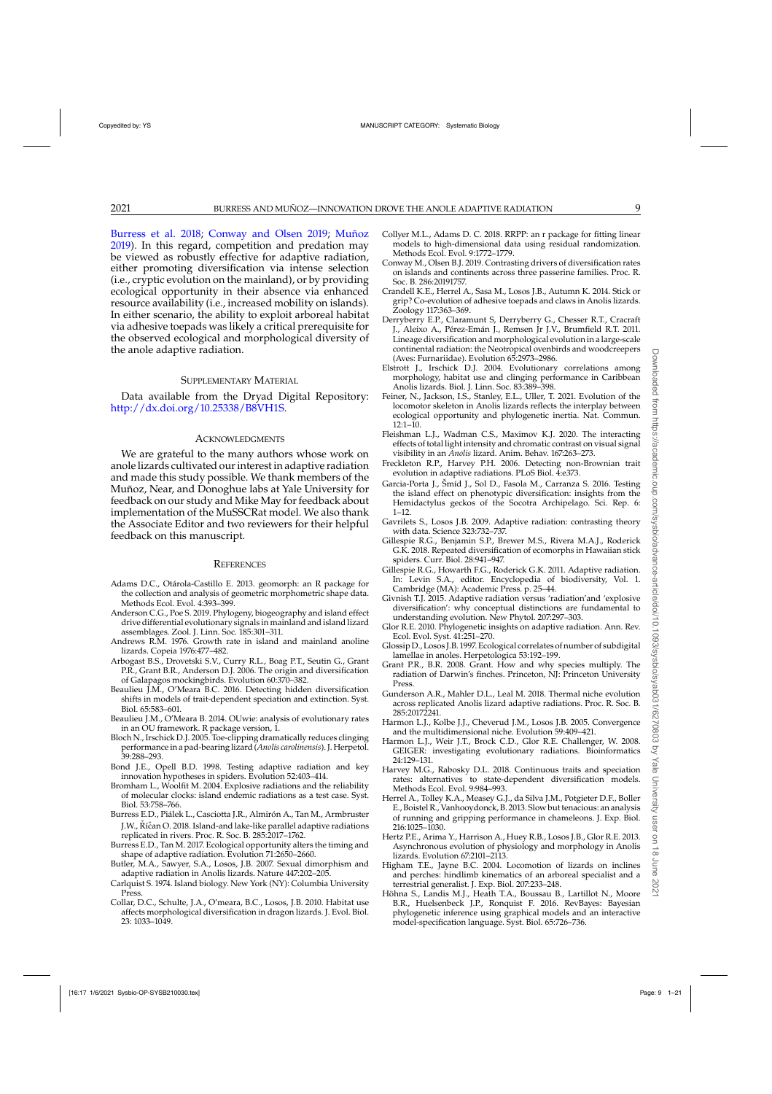<span id="page-8-0"></span>Burress et al. 2018; Conway and Olsen 2019; [Muñoz](#page-9-0) [2019\)](#page-9-0). In this regard, competition and predation may be viewed as robustly effective for adaptive radiation, either promoting diversification via intense selection (i.e., cryptic evolution on the mainland), or by providing ecological opportunity in their absence via enhanced resource availability (i.e., increased mobility on islands). In either scenario, the ability to exploit arboreal habitat via adhesive toepads was likely a critical prerequisite for the observed ecological and morphological diversity of the anole adaptive radiation.

#### SUPPLEMENTARY MATERIAL

Data available from the Dryad Digital Repository: [http://dx.doi.org/10.25338/B8VH1S.](http://dx.doi.org/10.25338/B8VH1S)

## **ACKNOWLEDGMENTS**

We are grateful to the many authors whose work on anole lizards cultivated our interest in adaptive radiation and made this study possible. We thank members of the Muñoz, Near, and Donoghue labs at Yale University for feedback on our study and Mike May for feedback about implementation of the MuSSCRat model. We also thank the Associate Editor and two reviewers for their helpful feedback on this manuscript.

#### **REFERENCES**

- Adams D.C., Otárola-Castillo E. 2013. geomorph: an R package for the collection and analysis of geometric morphometric shape data. Methods Ecol. Evol. 4:393–399.
- Anderson C.G., Poe S. 2019. Phylogeny, biogeography and island effect drive differential evolutionary signals in mainland and island lizard assemblages. Zool. J. Linn. Soc. 185:301–311.
- Andrews R.M. 1976. Growth rate in island and mainland anoline lizards. Copeia 1976:477–482.
- Arbogast B.S., Drovetski S.V., Curry R.L., Boag P.T., Seutin G., Grant P.R., Grant B.R., Anderson D.J. 2006. The origin and diversification of Galapagos mockingbirds. Evolution 60:370–382.
- Beaulieu J.M., O'Meara B.C. 2016. Detecting hidden diversification shifts in models of trait-dependent speciation and extinction. Syst. Biol. 65:583–601.
- Beaulieu J.M., O'Meara B. 2014. OUwie: analysis of evolutionary rates in an OU framework. R package version, 1.
- Bloch N., Irschick D.J. 2005. Toe-clipping dramatically reduces clinging performance in a pad-bearing lizard (*Anolis carolinensis*). J. Herpetol. 39:288–293.
- Bond J.E., Opell B.D. 1998. Testing adaptive radiation and key innovation hypotheses in spiders. Evolution 52:403–414.
- Bromham L., Woolfit M. 2004. Explosive radiations and the reliability of molecular clocks: island endemic radiations as a test case. Syst. Biol. 53:758–766.
- Burress E.D., Piálek L., Casciotta J.R., Almirón A., Tan M., Armbruster J.W., Ríčan O. 2018. Island-and lake-like parallel adaptive radiations replicated in rivers. Proc. R. Soc. B. 285:2017–1762.
- Burress E.D., Tan M. 2017. Ecological opportunity alters the timing and shape of adaptive radiation. Evolution 71:2650–2660.
- Butler, M.A., Sawyer, S.A., Losos, J.B. 2007. Sexual dimorphism and adaptive radiation in Anolis lizards. Nature 447:202–205.
- Carlquist S. 1974. Island biology. New York (NY): Columbia University Press.
- Collar, D.C., Schulte, J.A., O'meara, B.C., Losos, J.B. 2010. Habitat use affects morphological diversification in dragon lizards. J. Evol. Biol. 23: 1033–1049.
- Collyer M.L., Adams D. C. 2018. RRPP: an r package for fitting linear models to high-dimensional data using residual randomization. Methods Ecol. Evol. 9:1772–1779.
- Conway M., Olsen B.J. 2019. Contrasting drivers of diversification rates on islands and continents across three passerine families. Proc. R. Soc. B. 286:20191757.
- Crandell K.E., Herrel A., Sasa M., Losos J.B., Autumn K. 2014. Stick or grip? Co-evolution of adhesive toepads and claws in Anolis lizards. Zoology 117:363–369.
- Derryberry E.P., Claramunt S, Derryberry G., Chesser R.T., Cracraft J., Aleixo A., Pérez-Emán J., Remsen Jr J.V., Brumfield R.T. 2011. Lineage diversification and morphological evolution in a large-scale continental radiation: the Neotropical ovenbirds and woodcreepers (Aves: Furnariidae). Evolution 65:2973–2986.
- Elstrott J., Irschick D.J. 2004. Evolutionary correlations among morphology, habitat use and clinging performance in Caribbean Anolis lizards. Biol. J. Linn. Soc. 83:389–398.
- Feiner, N., Jackson, I.S., Stanley, E.L., Uller, T. 2021. Evolution of the locomotor skeleton in Anolis lizards reflects the interplay between ecological opportunity and phylogenetic inertia. Nat. Commun. 12:1–10.
- Fleishman L.J., Wadman C.S., Maximov K.J. 2020. The interacting effects of total light intensity and chromatic contrast on visual signal visibility in an *Anolis* lizard. Anim. Behav. 167:263–273.
- Freckleton R.P., Harvey P.H. 2006. Detecting non-Brownian trait evolution in adaptive radiations. PLoS Biol. 4:e373.
- Garcia-Porta J., Šmíd J., Sol D., Fasola M., Carranza S. 2016. Testing the island effect on phenotypic diversification: insights from the Hemidactylus geckos of the Socotra Archipelago. Sci. Rep. 6: 1–12.
- Gavrilets S., Losos J.B. 2009. Adaptive radiation: contrasting theory with data. Science 323:732–737.
- Gillespie R.G., Benjamin S.P., Brewer M.S., Rivera M.A.J., Roderick G.K. 2018. Repeated diversification of ecomorphs in Hawaiian stick spiders. Curr. Biol. 28:941–947.
- Gillespie R.G., Howarth F.G., Roderick G.K. 2011. Adaptive radiation. In: Levin S.A., editor. Encyclopedia of biodiversity, Vol. 1. Cambridge (MA): Academic Press. p. 25–44.
- Givnish T.J. 2015. Adaptive radiation versus 'radiation'and 'explosive diversification': why conceptual distinctions are fundamental to understanding evolution. New Phytol. 207:297–303.
- Glor R.E. 2010. Phylogenetic insights on adaptive radiation. Ann. Rev. Ecol. Evol. Syst. 41:251–270.
- Glossip D., Losos J.B. 1997. Ecological correlates of number of subdigital lamellae in anoles. Herpetologica 53:192–199.
- Grant P.R., B.R. 2008. Grant. How and why species multiply. The radiation of Darwin's finches. Princeton, NJ: Princeton University Press.
- Gunderson A.R., Mahler D.L., Leal M. 2018. Thermal niche evolution across replicated Anolis lizard adaptive radiations. Proc. R. Soc. B. 285:20172241.
- Harmon L.J., Kolbe J.J., Cheverud J.M., Losos J.B. 2005. Convergence and the multidimensional niche. Evolution 59:409–421.
- Harmon L.J., Weir J.T., Brock C.D., Glor R.E. Challenger, W. 2008. GEIGER: investigating evolutionary radiations. Bioinformatics 24:129–131.
- Harvey M.G., Rabosky D.L. 2018. Continuous traits and speciation rates: alternatives to state-dependent diversification models. Methods Ecol. Evol. 9:984–993.
- Herrel A., Tolley K.A., Measey G.J., da Silva J.M., Potgieter D.F., Boller E., Boistel R., Vanhooydonck, B. 2013. Slow but tenacious: an analysis of running and gripping performance in chameleons. J. Exp. Biol. 216:1025–1030.
- Hertz P.E., Arima Y., Harrison A., Huey R.B., Losos J.B., Glor R.E. 2013. Asynchronous evolution of physiology and morphology in Anolis lizards. Evolution 67:2101–2113.
- Higham T.E., Jayne B.C. 2004. Locomotion of lizards on inclines and perches: hindlimb kinematics of an arboreal specialist and a terrestrial generalist. J. Exp. Biol. 207:233–248.
- Höhna S., Landis M.J., Heath T.A., Boussau B., Lartillot N., Moore B.R., Huelsenbeck J.P., Ronquist F. 2016. RevBayes: Bayesian phylogenetic inference using graphical models and an interactive model-specification language. Syst. Biol. 65:726–736.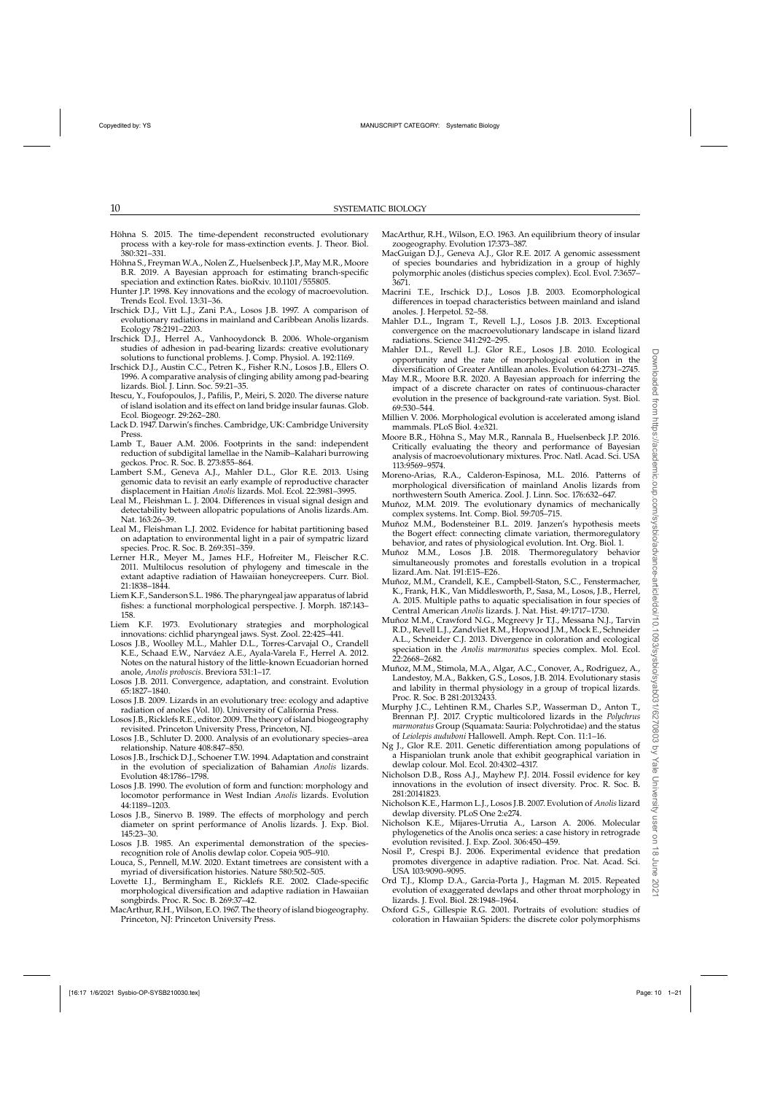- <span id="page-9-0"></span>Höhna S. 2015. The time-dependent reconstructed evolutionary process with a key-role for mass-extinction events. J. Theor. Biol. 380:321–331.
- Höhna S., Freyman W.A., Nolen Z., Huelsenbeck J.P., May M.R., Moore B.R. 2019. A Bayesian approach for estimating branch-specific speciation and extinction Rates. bioRxiv. 10.1101/555805.
- Hunter J.P. 1998. Key innovations and the ecology of macroevolution. Trends Ecol. Evol. 13:31–36.
- Irschick D.J., Vitt L.J., Zani P.A., Losos J.B. 1997. A comparison of evolutionary radiations in mainland and Caribbean Anolis lizards. Ecology 78:2191–2203.
- Irschick D.J., Herrel A., Vanhooydonck B. 2006. Whole-organism studies of adhesion in pad-bearing lizards: creative evolutionary solutions to functional problems. J. Comp. Physiol. A. 192:1169.
- Irschick D.J., Austin C.C., Petren K., Fisher R.N., Losos J.B., Ellers O. 1996. A comparative analysis of clinging ability among pad-bearing lizards. Biol. J. Linn. Soc. 59:21–35.
- Itescu, Y., Foufopoulos, J., Pafilis, P., Meiri, S. 2020. The diverse nature of island isolation and its effect on land bridge insular faunas. Glob. Ecol. Biogeogr. 29:262–280.
- Lack D. 1947. Darwin's finches. Cambridge, UK: Cambridge University Press.
- Lamb T., Bauer A.M. 2006. Footprints in the sand: independent reduction of subdigital lamellae in the Namib–Kalahari burrowing geckos. Proc. R. Soc. B. 273:855–864.
- Lambert S.M., Geneva A.J., Mahler D.L., Glor R.E. 2013. Using genomic data to revisit an early example of reproductive character displacement in Haitian *Anolis* lizards. Mol. Ecol. 22:3981–3995.
- Leal M., Fleishman L. J. 2004. Differences in visual signal design and detectability between allopatric populations of Anolis lizards.Am. Nat. 163:26–39.
- Leal M., Fleishman L.J. 2002. Evidence for habitat partitioning based on adaptation to environmental light in a pair of sympatric lizard species. Proc. R. Soc. B. 269:351–359.
- Lerner H.R., Meyer M., James H.F., Hofreiter M., Fleischer R.C. 2011. Multilocus resolution of phylogeny and timescale in the extant adaptive radiation of Hawaiian honeycreepers. Curr. Biol. 21:1838–1844.
- Liem K.F., Sanderson S.L. 1986. The pharyngeal jaw apparatus of labrid fishes: a functional morphological perspective. J. Morph. 187:143– 158.
- Liem K.F. 1973. Evolutionary strategies and morphological innovations: cichlid pharyngeal jaws. Syst. Zool. 22:425–441.
- Losos J.B., Woolley M.L., Mahler D.L., Torres-Carvajal O., Crandell K.E., Schaad E.W., Narváez A.E., Ayala-Varela F., Herrel A. 2012. Notes on the natural history of the little-known Ecuadorian horned anole, *Anolis proboscis*. Breviora 531:1–17.
- Losos J.B. 2011. Convergence, adaptation, and constraint. Evolution 65:1827–1840.
- Losos J.B. 2009. Lizards in an evolutionary tree: ecology and adaptive radiation of anoles (Vol. 10). University of California Press.
- Losos J.B., Ricklefs R.E., editor. 2009. The theory of island biogeography revisited. Princeton University Press, Princeton, NJ.
- Losos J.B., Schluter D. 2000. Analysis of an evolutionary species–area relationship. Nature 408:847–850.
- Losos J.B., Irschick D.J., Schoener T.W. 1994. Adaptation and constraint in the evolution of specialization of Bahamian *Anolis* lizards. Evolution 48:1786–1798.
- Losos J.B. 1990. The evolution of form and function: morphology and locomotor performance in West Indian *Anolis* lizards. Evolution 44:1189–1203.
- Losos J.B., Sinervo B. 1989. The effects of morphology and perch diameter on sprint performance of Anolis lizards. J. Exp. Biol. 145:23–30.
- Losos J.B. 1985. An experimental demonstration of the speciesrecognition role of Anolis dewlap color. Copeia 905–910.
- Louca, S., Pennell, M.W. 2020. Extant timetrees are consistent with a myriad of diversification histories. Nature 580:502–505.
- Lovette I.J., Bermingham E., Ricklefs R.E. 2002. Clade-specific morphological diversification and adaptive radiation in Hawaiian songbirds. Proc. R. Soc. B. 269:37–42.
- MacArthur, R.H., Wilson, E.O. 1967. The theory of island biogeography. Princeton, NJ: Princeton University Press.
- MacArthur, R.H., Wilson, E.O. 1963. An equilibrium theory of insular zoogeography. Evolution 17:373–387.
- MacGuigan D.J., Geneva A.J., Glor R.E. 2017. A genomic assessment of species boundaries and hybridization in a group of highly polymorphic anoles (distichus species complex). Ecol. Evol. 7:3657– 3671.
- Macrini T.E., Irschick D.J., Losos J.B. 2003. Ecomorphological differences in toepad characteristics between mainland and island anoles. J. Herpetol. 52–58.
- Mahler D.L., Ingram T., Revell L.J., Losos J.B. 2013. Exceptional convergence on the macroevolutionary landscape in island lizard radiations. Science 341:292–295.
- Mahler D.L., Revell L.J. Glor R.E., Losos J.B. 2010. Ecological opportunity and the rate of morphological evolution in the diversification of Greater Antillean anoles. Evolution 64:2731–2745.
- May M.R., Moore B.R. 2020. A Bayesian approach for inferring the impact of a discrete character on rates of continuous-character evolution in the presence of background-rate variation. Syst. Biol. 69:530–544.
- Millien V. 2006. Morphological evolution is accelerated among island mammals. PLoS Biol. 4:e321.
- Moore B.R., Höhna S., May M.R., Rannala B., Huelsenbeck J.P. 2016. Critically evaluating the theory and performance of Bayesian analysis of macroevolutionary mixtures. Proc. Natl. Acad. Sci. USA 113:9569–9574.
- Moreno-Arias, R.A., Calderon-Espinosa, M.L. 2016. Patterns of morphological diversification of mainland Anolis lizards from northwestern South America. Zool. J. Linn. Soc. 176:632–647.
- Muñoz, M.M. 2019. The evolutionary dynamics of mechanically complex systems. Int. Comp. Biol. 59:705–715.
- Muñoz M.M., Bodensteiner B.L. 2019. Janzen's hypothesis meets the Bogert effect: connecting climate variation, thermoregulatory behavior, and rates of physiological evolution. Int. Org. Biol. 1.
- Muñoz M.M., Losos J.B. 2018. Thermoregulatory behavior simultaneously promotes and forestalls evolution in a tropical lizard.Am. Nat. 191:E15–E26.
- Muñoz, M.M., Crandell, K.E., Campbell-Staton, S.C., Fenstermacher, K., Frank, H.K., Van Middlesworth, P., Sasa, M., Losos, J.B., Herrel, A. 2015. Multiple paths to aquatic specialisation in four species of Central American *Anolis* lizards. J. Nat. Hist. 49:1717–1730.
- Muñoz M.M., Crawford N.G., Mcgreevy Jr T.J., Messana N.J., Tarvin R.D., Revell L.J., Zandvliet R.M., Hopwood J.M., Mock E., Schneider A.L., Schneider C.J. 2013. Divergence in coloration and ecological speciation in the *Anolis marmoratus* species complex. Mol. Ecol. 22:2668–2682.
- Muñoz, M.M., Stimola, M.A., Algar, A.C., Conover, A., Rodriguez, A., Landestoy, M.A., Bakken, G.S., Losos, J.B. 2014. Evolutionary stasis and lability in thermal physiology in a group of tropical lizards. Proc. R. Soc. B 281:20132433.
- Murphy J.C., Lehtinen R.M., Charles S.P., Wasserman D., Anton T., Brennan P.J. 2017. Cryptic multicolored lizards in the *Polychrus marmoratus* Group (Squamata: Sauria: Polychrotidae) and the status of *Leiolepis auduboni* Hallowell. Amph. Rept. Con. 11:1–16.
- Ng J., Glor R.E. 2011. Genetic differentiation among populations of a Hispaniolan trunk anole that exhibit geographical variation in dewlap colour. Mol. Ecol. 20:4302–4317.
- Nicholson D.B., Ross A.J., Mayhew P.J. 2014. Fossil evidence for key innovations in the evolution of insect diversity. Proc. R. Soc. B*.* 281:20141823.
- Nicholson K.E., Harmon L.J., Losos J.B. 2007. Evolution of *Anolis*lizard dewlap diversity. PLoS One 2:e274.
- Nicholson K.E., Mijares-Urrutia A., Larson A. 2006. Molecular phylogenetics of the Anolis onca series: a case history in retrograde evolution revisited. J. Exp. Zool. 306:450–459.
- Nosil P., Crespi B.J. 2006. Experimental evidence that predation promotes divergence in adaptive radiation. Proc. Nat. Acad. Sci. USA 103:9090–9095.
- Ord T.J., Klomp D.A., Garcia-Porta J., Hagman M. 2015. Repeated evolution of exaggerated dewlaps and other throat morphology in lizards. J. Evol. Biol. 28:1948–1964.
- Oxford G.S., Gillespie R.G. 2001. Portraits of evolution: studies of coloration in Hawaiian Spiders: the discrete color polymorphisms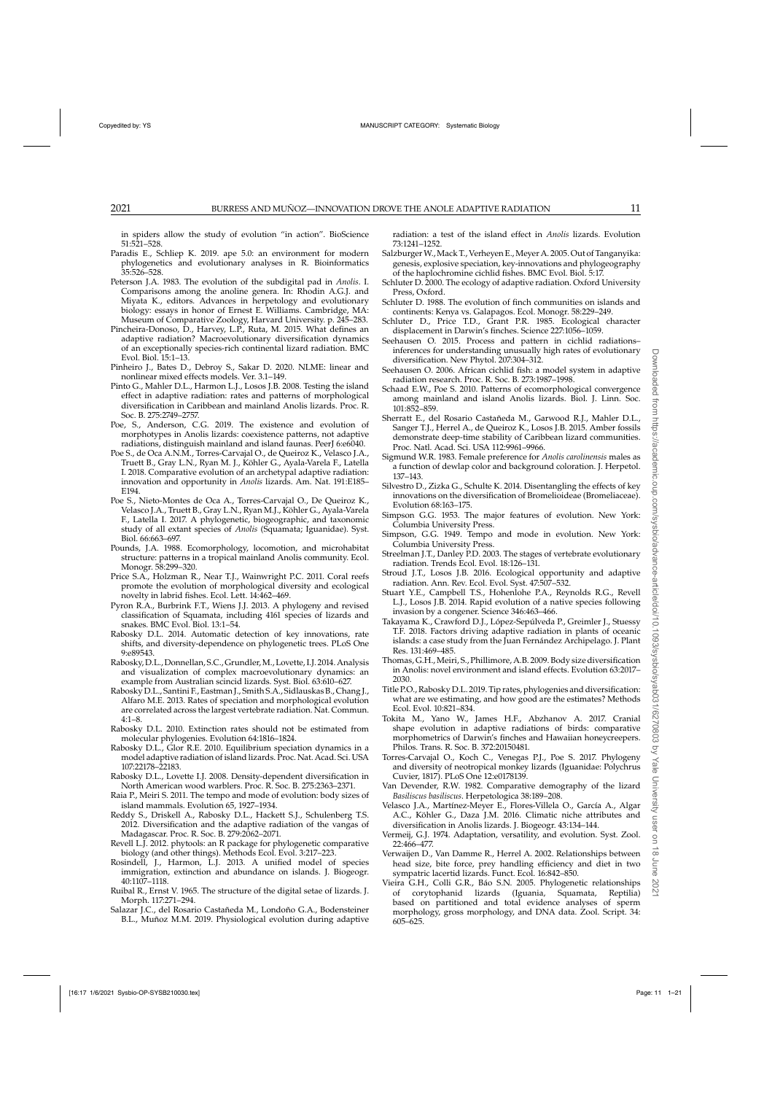<span id="page-10-0"></span>in spiders allow the study of evolution "in action". BioScience 51:521–528.

- Paradis E., Schliep K. 2019. ape 5.0: an environment for modern phylogenetics and evolutionary analyses in R. Bioinformatics 35:526–528.
- Peterson J.A. 1983. The evolution of the subdigital pad in *Anolis*. I. Comparisons among the anoline genera. In: Rhodin A.G.J. and Miyata K., editors. Advances in herpetology and evolutionary biology: essays in honor of Ernest E. Williams. Cambridge, MA: Museum of Comparative Zoology, Harvard University. p. 245–283.
- Pincheira-Donoso, D., Harvey, L.P., Ruta, M. 2015. What defines an adaptive radiation? Macroevolutionary diversification dynamics of an exceptionally species-rich continental lizard radiation. BMC Evol. Biol. 15:1–13.
- Pinheiro J., Bates D., Debroy S., Sakar D. 2020. NLME: linear and nonlinear mixed effects models. Ver. 3.1–149.
- Pinto G., Mahler D.L., Harmon L.J., Losos J.B. 2008. Testing the island effect in adaptive radiation: rates and patterns of morphological diversification in Caribbean and mainland Anolis lizards. Proc. R. Soc. B. 275:2749–2757.
- Poe, S., Anderson, C.G. 2019. The existence and evolution of morphotypes in Anolis lizards: coexistence patterns, not adaptive radiations, distinguish mainland and island faunas. PeerJ 6:e6040.
- Poe S., de Oca A.N.M., Torres-Carvajal O., de Queiroz K., Velasco J.A., Truett B., Gray L.N., Ryan M. J., Köhler G., Ayala-Varela F., Latella I. 2018. Comparative evolution of an archetypal adaptive radiation: innovation and opportunity in *Anolis* lizards. Am. Nat. 191:E185– E194.
- Poe S., Nieto-Montes de Oca A., Torres-Carvajal O., De Queiroz K., Velasco J.A., Truett B., Gray L.N., Ryan M.J., Köhler G., Ayala-Varela F., Latella I. 2017. A phylogenetic, biogeographic, and taxonomic study of all extant species of *Anolis* (Squamata; Iguanidae). Syst. Biol. 66:663–697.
- Pounds, J.A. 1988. Ecomorphology, locomotion, and microhabitat structure: patterns in a tropical mainland Anolis community. Ecol. Monogr. 58:299–320.
- Price S.A., Holzman R., Near T.J., Wainwright P.C. 2011. Coral reefs promote the evolution of morphological diversity and ecological novelty in labrid fishes. Ecol. Lett. 14:462–469.
- Pyron R.A., Burbrink F.T., Wiens J.J. 2013. A phylogeny and revised classification of Squamata, including 4161 species of lizards and snakes. BMC Evol. Biol. 13:1–54.
- Rabosky D.L. 2014. Automatic detection of key innovations, rate shifts, and diversity-dependence on phylogenetic trees. PLoS One 9:e89543.
- Rabosky, D.L., Donnellan, S.C., Grundler,M., Lovette, I.J. 2014. Analysis and visualization of complex macroevolutionary dynamics: an example from Australian scincid lizards. Syst. Biol. 63:610–627.
- Rabosky D.L., Santini F., Eastman J., Smith S.A., Sidlauskas B., Chang J., Alfaro M.E. 2013. Rates of speciation and morphological evolution are correlated across the largest vertebrate radiation. Nat. Commun. 4:1–8.
- Rabosky D.L. 2010. Extinction rates should not be estimated from molecular phylogenies. Evolution 64:1816–1824.
- Rabosky D.L., Glor R.E. 2010. Equilibrium speciation dynamics in a model adaptive radiation of island lizards. Proc. Nat. Acad. Sci. USA 107:22178–22183.
- Rabosky D.L., Lovette I.J. 2008. Density-dependent diversification in North American wood warblers. Proc. R. Soc. B. 275:2363–2371.
- Raia P., Meiri S. 2011. The tempo and mode of evolution: body sizes of island mammals. Evolution 65, 1927–1934.
- Reddy S., Driskell A., Rabosky D.L., Hackett S.J., Schulenberg T.S. 2012. Diversification and the adaptive radiation of the vangas of Madagascar. Proc. R. Soc. B. 279:2062–2071.
- Revell L.J. 2012. phytools: an R package for phylogenetic comparative biology (and other things). Methods Ecol. Evol. 3:217–223.
- Rosindell, J., Harmon, L.J. 2013. A unified model of species immigration, extinction and abundance on islands. J. Biogeogr. 40:1107–1118.
- Ruibal R., Ernst V. 1965. The structure of the digital setae of lizards. J. Morph. 117:271–294.
- Salazar J.C., del Rosario Castañeda M., Londoño G.A., Bodensteiner B.L., Muñoz M.M. 2019. Physiological evolution during adaptive

radiation: a test of the island effect in *Anolis* lizards. Evolution 73:1241–1252.

- Salzburger W., Mack T., Verheyen E., Meyer A. 2005. Out of Tanganyika: genesis, explosive speciation, key-innovations and phylogeography of the haplochromine cichlid fishes. BMC Evol. Biol. 5:17.
- Schluter D. 2000. The ecology of adaptive radiation. Oxford University Press, Oxford.
- Schluter D. 1988. The evolution of finch communities on islands and continents: Kenya vs. Galapagos. Ecol. Monogr. 58:229–249.
- Schluter D., Price T.D., Grant P.R. 1985. Ecological character displacement in Darwin's finches. Science 227:1056–1059.
- Seehausen O. 2015. Process and pattern in cichlid radiations– inferences for understanding unusually high rates of evolutionary diversification. New Phytol. 207:304–312.
- Seehausen O. 2006. African cichlid fish: a model system in adaptive radiation research. Proc. R. Soc. B. 273:1987–1998.
- Schaad E.W., Poe S. 2010. Patterns of ecomorphological convergence among mainland and island Anolis lizards. Biol. J. Linn. Soc. 101:852–859.
- Sherratt E., del Rosario Castañeda M., Garwood R.J., Mahler D.L., Sanger T.J., Herrel A., de Queiroz K., Losos J.B. 2015. Amber fossils demonstrate deep-time stability of Caribbean lizard communities. Proc. Natl. Acad. Sci. USA 112:9961–9966.
- Sigmund W.R. 1983. Female preference for *Anolis carolinensis* males as a function of dewlap color and background coloration. J. Herpetol. 137–143.
- Silvestro D., Zizka G., Schulte K. 2014. Disentangling the effects of key innovations on the diversification of Bromelioideae (Bromeliaceae). Evolution 68:163–175.
- Simpson G.G. 1953. The major features of evolution. New York: Columbia University Press.
- Simpson, G.G. 1949. Tempo and mode in evolution. New York: Columbia University Press.
- Streelman J.T., Danley P.D. 2003. The stages of vertebrate evolutionary radiation. Trends Ecol. Evol. 18:126–131.
- Stroud J.T., Losos J.B. 2016. Ecological opportunity and adaptive radiation. Ann. Rev. Ecol. Evol. Syst. 47:507–532.
- Stuart Y.E., Campbell T.S., Hohenlohe P.A., Reynolds R.G., Revell L.J., Losos J.B. 2014. Rapid evolution of a native species following invasion by a congener. Science 346:463–466.
- Takayama K., Crawford D.J., López-Sepúlveda P., Greimler J., Stuessy T.F. 2018. Factors driving adaptive radiation in plants of oceanic islands: a case study from the Juan Fernández Archipelago. J. Plant Res. 131:469–485.
- Thomas, G.H., Meiri, S., Phillimore, A.B. 2009. Body size diversification in Anolis: novel environment and island effects. Evolution 63:2017– 2030.
- Title P.O., Rabosky D.L. 2019. Tip rates, phylogenies and diversification: what are we estimating, and how good are the estimates? Methods Ecol. Evol. 10:821–834.
- Tokita M., Yano W., James H.F., Abzhanov A. 2017. Cranial shape evolution in adaptive radiations of birds: comparative morphometrics of Darwin's finches and Hawaiian honeycreepers. Philos. Trans. R. Soc. B. 372:20150481.
- Torres-Carvajal O., Koch C., Venegas P.J., Poe S. 2017. Phylogeny and diversity of neotropical monkey lizards (Iguanidae: Polychrus Cuvier, 1817). PLoS One 12:e0178139.
- Van Devender, R.W. 1982. Comparative demography of the lizard *Basiliscus basiliscus*. Herpetologica 38:189–208.
- Velasco J.A., Martínez-Meyer E., Flores-Villela O., García A., Algar A.C., Köhler G., Daza J.M. 2016. Climatic niche attributes and diversification in Anolis lizards. J. Biogeogr. 43:134–144.
- Vermeij, G.J. 1974. Adaptation, versatility, and evolution. Syst. Zool. 22:466–477.
- Verwaijen D., Van Damme R., Herrel A. 2002. Relationships between head size, bite force, prey handling efficiency and diet in two sympatric lacertid lizards. Funct. Ecol. 16:842–850.
- Vieira G.H., Colli G.R., Báo S.N. 2005. Phylogenetic relationships of corytophanid lizards (Iguania, Squamata, Reptilia) based on partitioned and total evidence analyses of sperm morphology, gross morphology, and DNA data. Zool. Script. 34: 605–625.